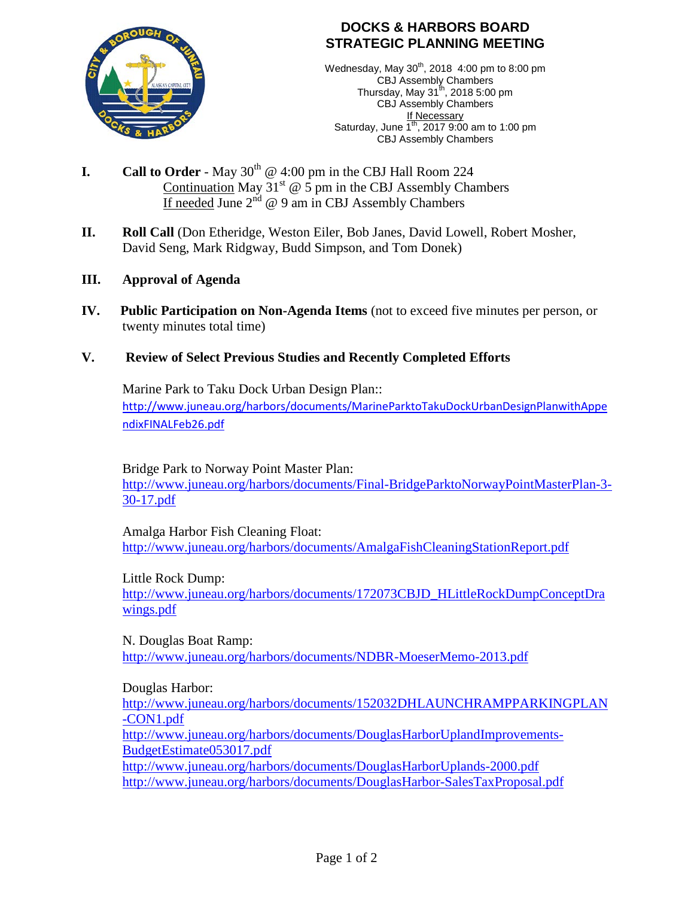

# **DOCKS & HARBORS BOARD STRATEGIC PLANNING MEETING**

Wednesday, May 30<sup>th</sup>, 2018 4:00 pm to 8:00 pm CBJ Assembly Chambers Thursday, May 31 $^{\text{th}}$ , 2018 5:00 pm CBJ Assembly Chambers If Necessary Saturday, June  $1^{th}$ , 2017 9:00 am to 1:00 pm CBJ Assembly Chambers

- **I.** Call to Order May  $30<sup>th</sup>$  @ 4:00 pm in the CBJ Hall Room 224 Continuation May  $31^{st}$   $\circledcirc$  5 pm in the CBJ Assembly Chambers If needed June  $2^{nd}$  @ 9 am in CBJ Assembly Chambers
- **II. Roll Call** (Don Etheridge, Weston Eiler, Bob Janes, David Lowell, Robert Mosher, David Seng, Mark Ridgway, Budd Simpson, and Tom Donek)
- **III. Approval of Agenda**
- **IV. Public Participation on Non-Agenda Items** (not to exceed five minutes per person, or twenty minutes total time)

# **V. Review of Select Previous Studies and Recently Completed Efforts**

Marine Park to Taku Dock Urban Design Plan:: [http://www.juneau.org/harbors/documents/MarineParktoTakuDockUrbanDesignPlanwithAppe](http://www.juneau.org/harbors/documents/MarineParktoTakuDockUrbanDesignPlanwithAppendixFINALFeb26.pdf) [ndixFINALFeb26.pdf](http://www.juneau.org/harbors/documents/MarineParktoTakuDockUrbanDesignPlanwithAppendixFINALFeb26.pdf)

Bridge Park to Norway Point Master Plan:

[http://www.juneau.org/harbors/documents/Final-BridgeParktoNorwayPointMasterPlan-3-](http://www.juneau.org/harbors/documents/Final-BridgeParktoNorwayPointMasterPlan-3-30-17.pdf) [30-17.pdf](http://www.juneau.org/harbors/documents/Final-BridgeParktoNorwayPointMasterPlan-3-30-17.pdf)

Amalga Harbor Fish Cleaning Float: <http://www.juneau.org/harbors/documents/AmalgaFishCleaningStationReport.pdf>

Little Rock Dump:

[http://www.juneau.org/harbors/documents/172073CBJD\\_HLittleRockDumpConceptDra](http://www.juneau.org/harbors/documents/172073CBJD_HLittleRockDumpConceptDrawings.pdf) [wings.pdf](http://www.juneau.org/harbors/documents/172073CBJD_HLittleRockDumpConceptDrawings.pdf)

N. Douglas Boat Ramp: <http://www.juneau.org/harbors/documents/NDBR-MoeserMemo-2013.pdf>

Douglas Harbor:

[http://www.juneau.org/harbors/documents/152032DHLAUNCHRAMPPARKINGPLAN](http://www.juneau.org/harbors/documents/152032DHLAUNCHRAMPPARKINGPLAN-CON1.pdf) [-CON1.pdf](http://www.juneau.org/harbors/documents/152032DHLAUNCHRAMPPARKINGPLAN-CON1.pdf)

[http://www.juneau.org/harbors/documents/DouglasHarborUplandImprovements-](http://www.juneau.org/harbors/documents/DouglasHarborUplandImprovements-BudgetEstimate053017.pdf)[BudgetEstimate053017.pdf](http://www.juneau.org/harbors/documents/DouglasHarborUplandImprovements-BudgetEstimate053017.pdf)

<http://www.juneau.org/harbors/documents/DouglasHarborUplands-2000.pdf> <http://www.juneau.org/harbors/documents/DouglasHarbor-SalesTaxProposal.pdf>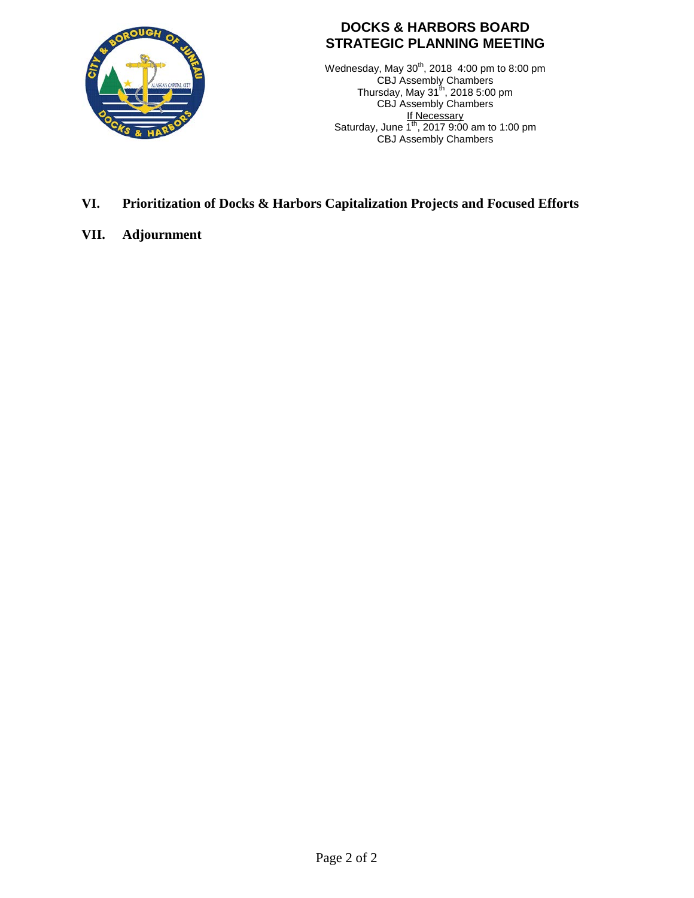

# **DOCKS & HARBORS BOARD STRATEGIC PLANNING MEETING**

Wednesday, May  $30^{th}$ , 2018 4:00 pm to 8:00 pm CBJ Assembly Chambers Thursday, May 31 $^{\text{th}}$ , 2018 5:00 pm CBJ Assembly Chambers <u>If Necessary</u> Saturday, June  $1^{th}$ , 2017 9:00 am to 1:00 pm CBJ Assembly Chambers

## **VI. Prioritization of Docks & Harbors Capitalization Projects and Focused Efforts**

**VII. Adjournment**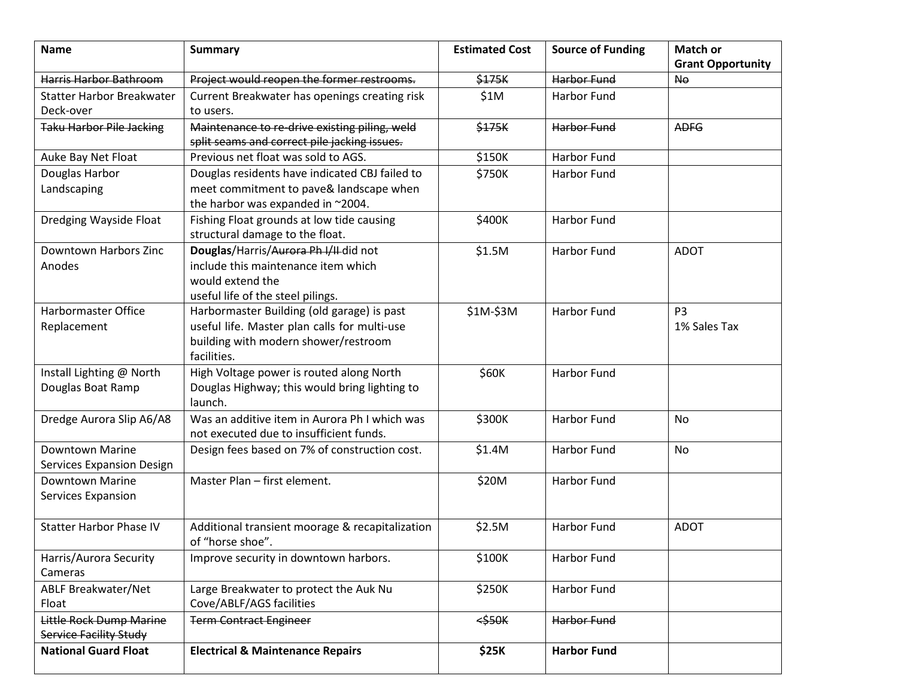| <b>Name</b>                                         | <b>Summary</b>                                                                                                                                    | <b>Estimated Cost</b> | <b>Source of Funding</b> | <b>Match or</b><br><b>Grant Opportunity</b> |
|-----------------------------------------------------|---------------------------------------------------------------------------------------------------------------------------------------------------|-----------------------|--------------------------|---------------------------------------------|
| Harris Harbor Bathroom                              | Project would reopen the former restrooms.                                                                                                        | \$175K                | Harbor Fund              | N <sub>0</sub>                              |
| <b>Statter Harbor Breakwater</b><br>Deck-over       | Current Breakwater has openings creating risk<br>to users.                                                                                        | \$1M                  | <b>Harbor Fund</b>       |                                             |
| <b>Taku Harbor Pile Jacking</b>                     | Maintenance to re-drive existing piling, weld<br>split seams and correct pile jacking issues.                                                     | \$175K                | Harbor Fund              | <b>ADFG</b>                                 |
| Auke Bay Net Float                                  | Previous net float was sold to AGS.                                                                                                               | \$150K                | <b>Harbor Fund</b>       |                                             |
| Douglas Harbor<br>Landscaping                       | Douglas residents have indicated CBJ failed to<br>meet commitment to pave& landscape when<br>the harbor was expanded in ~2004.                    | \$750K                | <b>Harbor Fund</b>       |                                             |
| Dredging Wayside Float                              | Fishing Float grounds at low tide causing<br>structural damage to the float.                                                                      | \$400K                | <b>Harbor Fund</b>       |                                             |
| Downtown Harbors Zinc<br>Anodes                     | Douglas/Harris/Aurora Ph I/II did not<br>include this maintenance item which<br>would extend the<br>useful life of the steel pilings.             | \$1.5M                | <b>Harbor Fund</b>       | <b>ADOT</b>                                 |
| <b>Harbormaster Office</b><br>Replacement           | Harbormaster Building (old garage) is past<br>useful life. Master plan calls for multi-use<br>building with modern shower/restroom<br>facilities. | \$1M-\$3M             | <b>Harbor Fund</b>       | P <sub>3</sub><br>1% Sales Tax              |
| Install Lighting @ North<br>Douglas Boat Ramp       | High Voltage power is routed along North<br>Douglas Highway; this would bring lighting to<br>launch.                                              | \$60K                 | Harbor Fund              |                                             |
| Dredge Aurora Slip A6/A8                            | Was an additive item in Aurora Ph I which was<br>not executed due to insufficient funds.                                                          | \$300K                | <b>Harbor Fund</b>       | <b>No</b>                                   |
| Downtown Marine<br><b>Services Expansion Design</b> | Design fees based on 7% of construction cost.                                                                                                     | \$1.4M                | <b>Harbor Fund</b>       | No                                          |
| <b>Downtown Marine</b><br>Services Expansion        | Master Plan - first element.                                                                                                                      | \$20M                 | Harbor Fund              |                                             |
| <b>Statter Harbor Phase IV</b>                      | Additional transient moorage & recapitalization<br>of "horse shoe".                                                                               | \$2.5M                | Harbor Fund              | <b>ADOT</b>                                 |
| Harris/Aurora Security<br>Cameras                   | Improve security in downtown harbors.                                                                                                             | \$100K                | Harbor Fund              |                                             |
| ABLF Breakwater/Net<br>Float                        | Large Breakwater to protect the Auk Nu<br>Cove/ABLF/AGS facilities                                                                                | \$250K                | Harbor Fund              |                                             |
| Little Rock Dump Marine<br>Service Facility Study   | <b>Term Contract Engineer</b>                                                                                                                     | $<$ \$50 $<$          | Harbor Fund              |                                             |
| <b>National Guard Float</b>                         | <b>Electrical &amp; Maintenance Repairs</b>                                                                                                       | <b>\$25K</b>          | <b>Harbor Fund</b>       |                                             |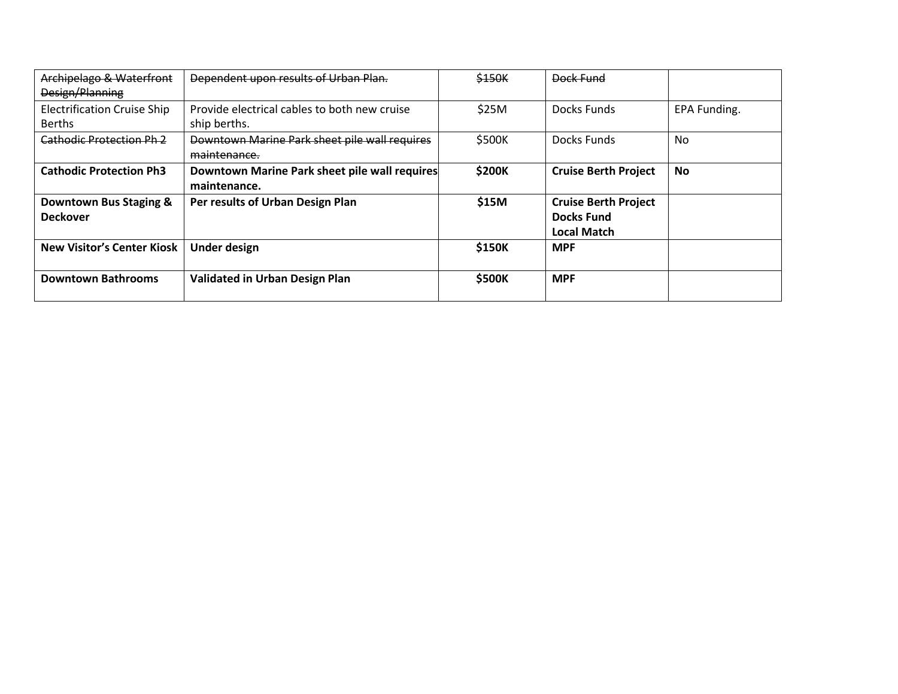| Archipelago & Waterfront<br>Design/Planning         | Dependent upon results of Urban Plan.                         | \$150K | Dock Fund                                                       |              |
|-----------------------------------------------------|---------------------------------------------------------------|--------|-----------------------------------------------------------------|--------------|
| <b>Electrification Cruise Ship</b><br><b>Berths</b> | Provide electrical cables to both new cruise<br>ship berths.  | \$25M  | Docks Funds                                                     | EPA Funding. |
| <b>Cathodic Protection Ph 2</b>                     | Downtown Marine Park sheet pile wall requires<br>maintenance. | \$500K | Docks Funds                                                     | No           |
| <b>Cathodic Protection Ph3</b>                      | Downtown Marine Park sheet pile wall requires<br>maintenance. | \$200K | <b>Cruise Berth Project</b>                                     | <b>No</b>    |
| Downtown Bus Staging &<br><b>Deckover</b>           | Per results of Urban Design Plan                              | \$15M  | <b>Cruise Berth Project</b><br><b>Docks Fund</b><br>Local Match |              |
| <b>New Visitor's Center Kiosk</b>                   | <b>Under design</b>                                           | \$150K | <b>MPF</b>                                                      |              |
| <b>Downtown Bathrooms</b>                           | Validated in Urban Design Plan                                | \$500K | <b>MPF</b>                                                      |              |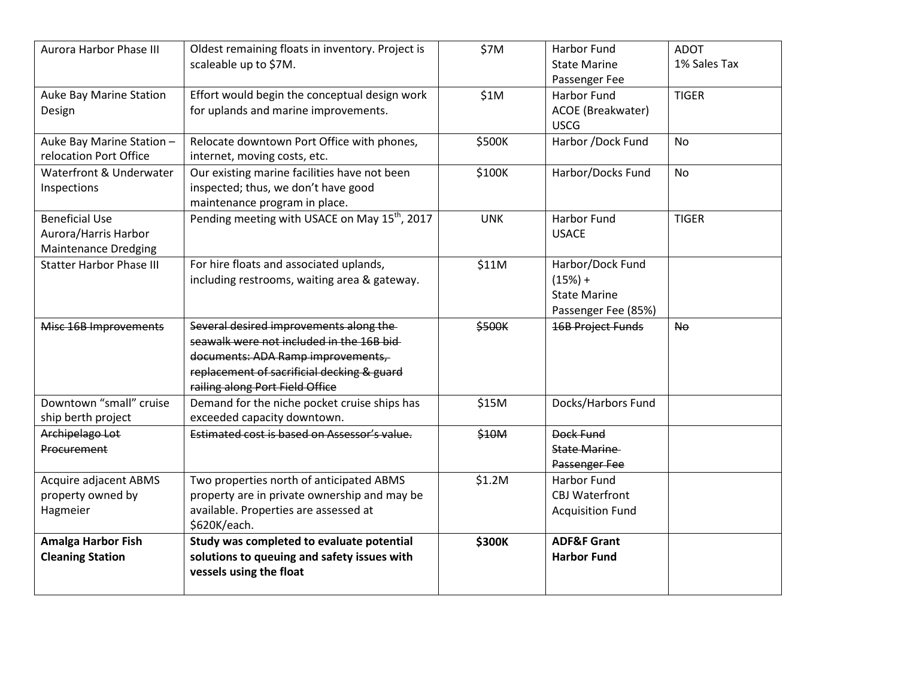| Aurora Harbor Phase III         | Oldest remaining floats in inventory. Project is          | \$7M       | Harbor Fund              | <b>ADOT</b>    |
|---------------------------------|-----------------------------------------------------------|------------|--------------------------|----------------|
|                                 | scaleable up to \$7M.                                     |            | <b>State Marine</b>      | 1% Sales Tax   |
|                                 |                                                           |            | Passenger Fee            |                |
| Auke Bay Marine Station         | Effort would begin the conceptual design work             | \$1M       | <b>Harbor Fund</b>       | <b>TIGER</b>   |
| Design                          | for uplands and marine improvements.                      |            | ACOE (Breakwater)        |                |
|                                 |                                                           |            | <b>USCG</b>              |                |
| Auke Bay Marine Station-        | Relocate downtown Port Office with phones,                | \$500K     | Harbor /Dock Fund        | <b>No</b>      |
| relocation Port Office          | internet, moving costs, etc.                              |            |                          |                |
| Waterfront & Underwater         | Our existing marine facilities have not been              | \$100K     | Harbor/Docks Fund        | No.            |
| Inspections                     | inspected; thus, we don't have good                       |            |                          |                |
|                                 | maintenance program in place.                             |            |                          |                |
| <b>Beneficial Use</b>           | Pending meeting with USACE on May 15 <sup>th</sup> , 2017 | <b>UNK</b> | Harbor Fund              | <b>TIGER</b>   |
| Aurora/Harris Harbor            |                                                           |            | <b>USACE</b>             |                |
| <b>Maintenance Dredging</b>     |                                                           |            |                          |                |
| <b>Statter Harbor Phase III</b> | For hire floats and associated uplands,                   | \$11M      | Harbor/Dock Fund         |                |
|                                 | including restrooms, waiting area & gateway.              |            | $(15%) +$                |                |
|                                 |                                                           |            | <b>State Marine</b>      |                |
|                                 |                                                           |            | Passenger Fee (85%)      |                |
| Misc 16B Improvements           | Several desired improvements along the                    | \$500K     | <b>16B Project Funds</b> | N <sub>0</sub> |
|                                 | seawalk were not included in the 16B bid-                 |            |                          |                |
|                                 | documents: ADA Ramp improvements,                         |            |                          |                |
|                                 | replacement of sacrificial decking & guard                |            |                          |                |
|                                 | railing along Port Field Office                           |            |                          |                |
| Downtown "small" cruise         | Demand for the niche pocket cruise ships has              | \$15M      | Docks/Harbors Fund       |                |
| ship berth project              | exceeded capacity downtown.                               |            |                          |                |
| Archipelago Lot                 | Estimated cost is based on Assessor's value.              | \$10M      | Dock Fund                |                |
| Procurement                     |                                                           |            | <b>State Marine</b>      |                |
|                                 |                                                           |            | Passenger Fee            |                |
| Acquire adjacent ABMS           | Two properties north of anticipated ABMS                  | \$1.2M     | <b>Harbor Fund</b>       |                |
| property owned by               | property are in private ownership and may be              |            | <b>CBJ Waterfront</b>    |                |
| Hagmeier                        | available. Properties are assessed at                     |            | <b>Acquisition Fund</b>  |                |
|                                 | \$620K/each.                                              |            |                          |                |
| <b>Amalga Harbor Fish</b>       | Study was completed to evaluate potential                 | \$300K     | <b>ADF&amp;F Grant</b>   |                |
| <b>Cleaning Station</b>         | solutions to queuing and safety issues with               |            | <b>Harbor Fund</b>       |                |
|                                 | vessels using the float                                   |            |                          |                |
|                                 |                                                           |            |                          |                |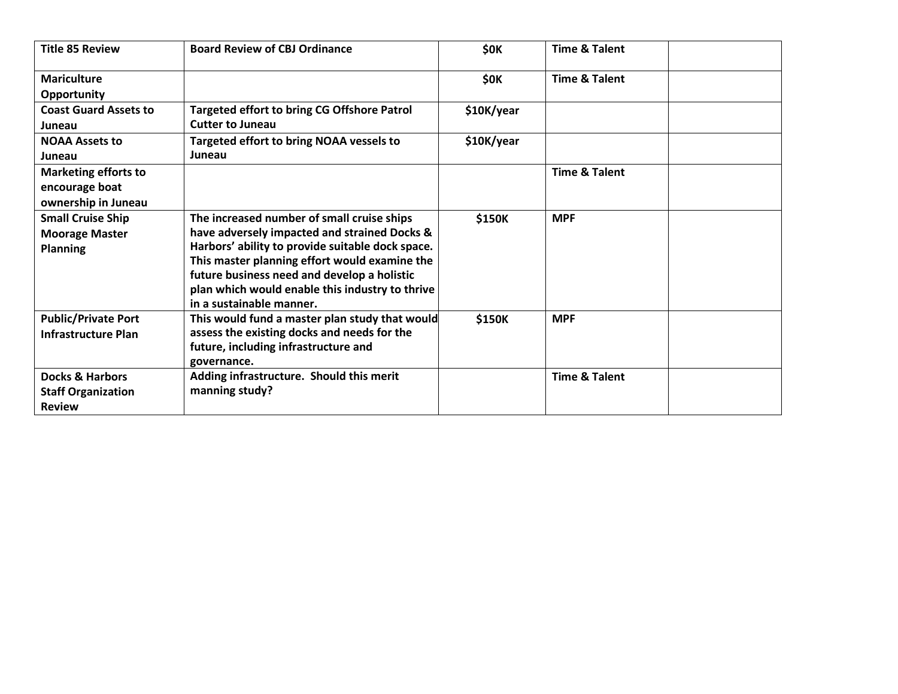| <b>Title 85 Review</b>                                                   | <b>Board Review of CBJ Ordinance</b>                                                                                                                                                                                                                                                                                          | <b>\$0K</b> | <b>Time &amp; Talent</b> |
|--------------------------------------------------------------------------|-------------------------------------------------------------------------------------------------------------------------------------------------------------------------------------------------------------------------------------------------------------------------------------------------------------------------------|-------------|--------------------------|
| <b>Mariculture</b><br><b>Opportunity</b>                                 |                                                                                                                                                                                                                                                                                                                               | <b>\$0K</b> | <b>Time &amp; Talent</b> |
| <b>Coast Guard Assets to</b><br>Juneau                                   | <b>Targeted effort to bring CG Offshore Patrol</b><br><b>Cutter to Juneau</b>                                                                                                                                                                                                                                                 | \$10K/year  |                          |
| <b>NOAA Assets to</b><br>Juneau                                          | <b>Targeted effort to bring NOAA vessels to</b><br>Juneau                                                                                                                                                                                                                                                                     | \$10K/year  |                          |
| <b>Marketing efforts to</b><br>encourage boat<br>ownership in Juneau     |                                                                                                                                                                                                                                                                                                                               |             | <b>Time &amp; Talent</b> |
| <b>Small Cruise Ship</b><br><b>Moorage Master</b><br><b>Planning</b>     | The increased number of small cruise ships<br>have adversely impacted and strained Docks &<br>Harbors' ability to provide suitable dock space.<br>This master planning effort would examine the<br>future business need and develop a holistic<br>plan which would enable this industry to thrive<br>in a sustainable manner. | \$150K      | <b>MPF</b>               |
| <b>Public/Private Port</b><br><b>Infrastructure Plan</b>                 | This would fund a master plan study that would<br>assess the existing docks and needs for the<br>future, including infrastructure and<br>governance.                                                                                                                                                                          | \$150K      | <b>MPF</b>               |
| <b>Docks &amp; Harbors</b><br><b>Staff Organization</b><br><b>Review</b> | Adding infrastructure. Should this merit<br>manning study?                                                                                                                                                                                                                                                                    |             | <b>Time &amp; Talent</b> |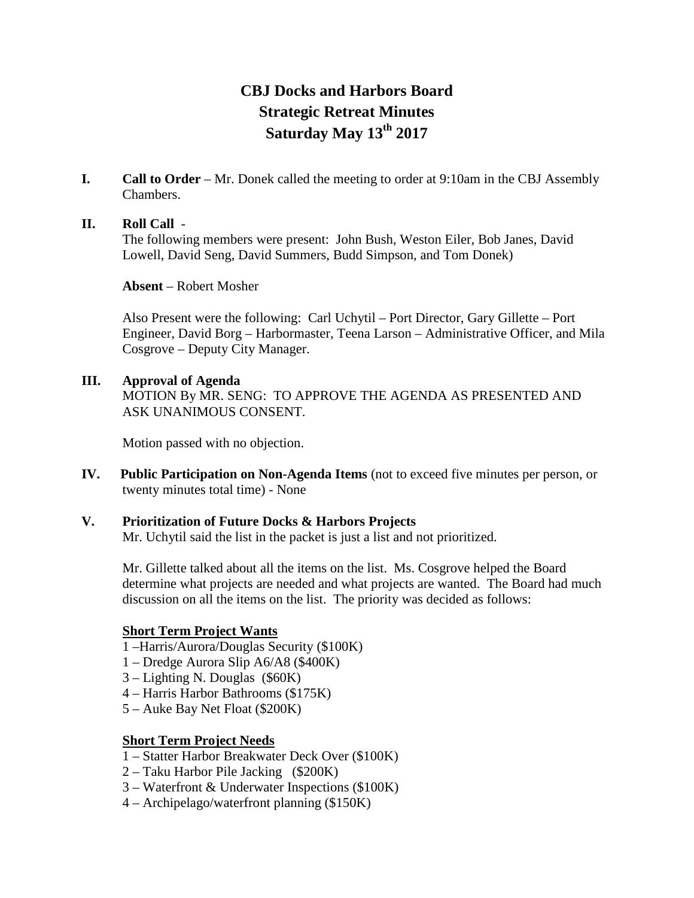# **CBJ Docks and Harbors Board Strategic Retreat Minutes Saturday May 13th 2017**

**I. Call to Order** – Mr. Donek called the meeting to order at 9:10am in the CBJ Assembly Chambers.

#### **II. Roll Call** -

The following members were present: John Bush, Weston Eiler, Bob Janes, David Lowell, David Seng, David Summers, Budd Simpson, and Tom Donek)

**Absent** – Robert Mosher

Also Present were the following: Carl Uchytil – Port Director, Gary Gillette – Port Engineer, David Borg – Harbormaster, Teena Larson – Administrative Officer, and Mila Cosgrove – Deputy City Manager.

**III. Approval of Agenda** MOTION By MR. SENG: TO APPROVE THE AGENDA AS PRESENTED AND ASK UNANIMOUS CONSENT.

Motion passed with no objection.

- **IV. Public Participation on Non-Agenda Items** (not to exceed five minutes per person, or twenty minutes total time) - None
- **V. Prioritization of Future Docks & Harbors Projects** Mr. Uchytil said the list in the packet is just a list and not prioritized.

Mr. Gillette talked about all the items on the list. Ms. Cosgrove helped the Board determine what projects are needed and what projects are wanted. The Board had much discussion on all the items on the list. The priority was decided as follows:

## **Short Term Project Wants**

- 1 –Harris/Aurora/Douglas Security (\$100K)
- 1 Dredge Aurora Slip A6/A8 (\$400K)
- 3 Lighting N. Douglas (\$60K)
- 4 Harris Harbor Bathrooms (\$175K)
- 5 Auke Bay Net Float (\$200K)

#### **Short Term Project Needs**

- 1 Statter Harbor Breakwater Deck Over (\$100K)
- 2 Taku Harbor Pile Jacking (\$200K)
- 3 Waterfront & Underwater Inspections (\$100K)
- 4 Archipelago/waterfront planning (\$150K)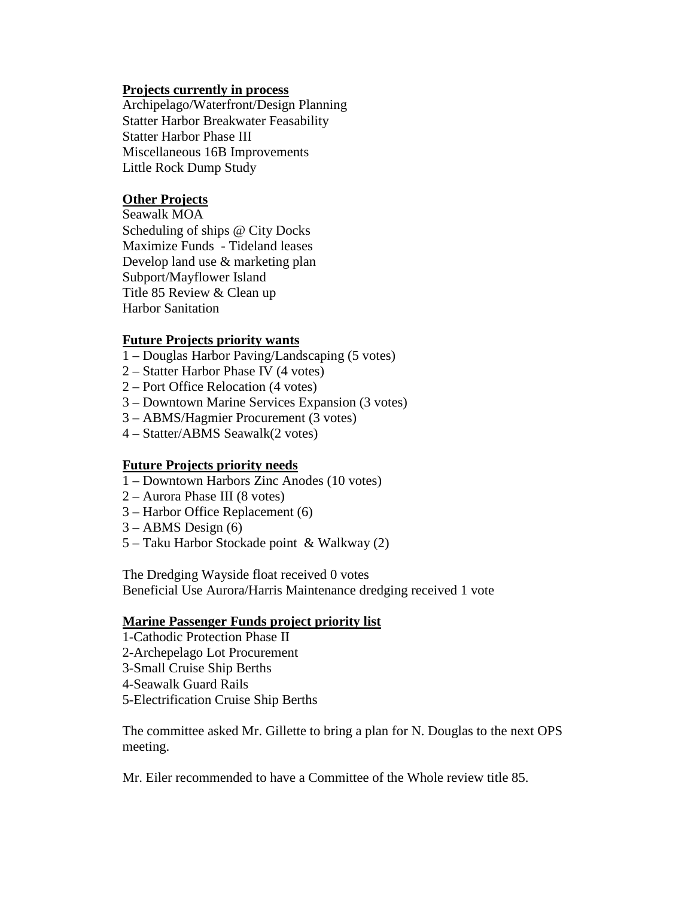#### **Projects currently in process**

Archipelago/Waterfront/Design Planning Statter Harbor Breakwater Feasability Statter Harbor Phase III Miscellaneous 16B Improvements Little Rock Dump Study

#### **Other Projects**

Seawalk MOA Scheduling of ships @ City Docks Maximize Funds - Tideland leases Develop land use & marketing plan Subport/Mayflower Island Title 85 Review & Clean up Harbor Sanitation

#### **Future Projects priority wants**

- 1 Douglas Harbor Paving/Landscaping (5 votes)
- 2 Statter Harbor Phase IV (4 votes)
- 2 Port Office Relocation (4 votes)
- 3 Downtown Marine Services Expansion (3 votes)
- 3 ABMS/Hagmier Procurement (3 votes)
- 4 Statter/ABMS Seawalk(2 votes)

#### **Future Projects priority needs**

- 1 Downtown Harbors Zinc Anodes (10 votes)
- 2 Aurora Phase III (8 votes)
- 3 Harbor Office Replacement (6)
- $3 ABMS$  Design  $(6)$
- 5 Taku Harbor Stockade point & Walkway (2)

The Dredging Wayside float received 0 votes Beneficial Use Aurora/Harris Maintenance dredging received 1 vote

#### **Marine Passenger Funds project priority list**

1-Cathodic Protection Phase II 2-Archepelago Lot Procurement 3-Small Cruise Ship Berths 4-Seawalk Guard Rails 5-Electrification Cruise Ship Berths

The committee asked Mr. Gillette to bring a plan for N. Douglas to the next OPS meeting.

Mr. Eiler recommended to have a Committee of the Whole review title 85.